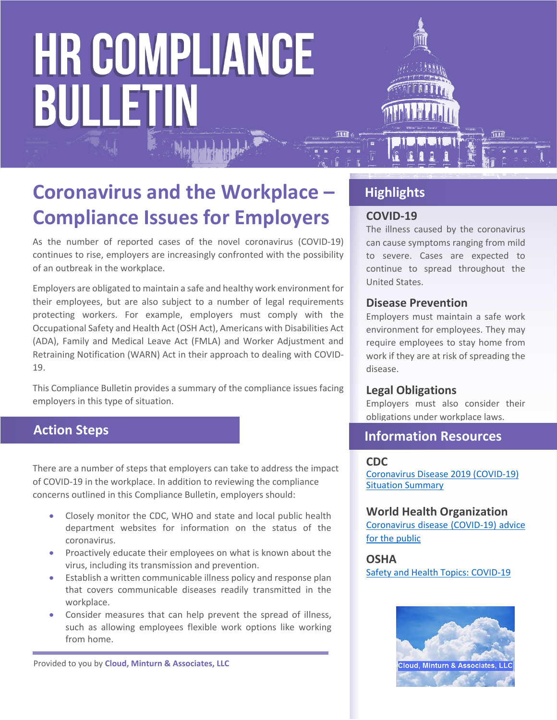

As the number of reported cases of the novel coronavirus (COVID-19) continues to rise, employers are increasingly confronted with the possibility of an outbreak in the workplace.

Employers are obligated to maintain a safe and healthy work environment for their employees, but are also subject to a number of legal requirements protecting workers. For example, employers must comply with the Occupational Safety and Health Act (OSH Act), Americans with Disabilities Act (ADA), Family and Medical Leave Act (FMLA) and Worker Adjustment and Retraining Notification (WARN) Act in their approach to dealing with COVID-19.

This Compliance Bulletin provides a summary of the compliance issues facing employers in this type of situation.

# **Action Steps**

There are a number of steps that employers can take to address the impact of COVID-19 in the workplace. In addition to reviewing the compliance concerns outlined in this Compliance Bulletin, employers should:

- Closely monitor the CDC, WHO and state and local public health department websites for information on the status of the coronavirus.
- Proactively educate their employees on what is known about the virus, including its transmission and prevention.
- Establish a written communicable illness policy and response plan that covers communicable diseases readily transmitted in the workplace.
- Consider measures that can help prevent the spread of illness, such as allowing employees flexible work options like working from home.

Provided to you by **Cloud, Minturn & Associates, LLC**

# **Highlights**

### **COVID-19**

The illness caused by the coronavirus can cause symptoms ranging from mild to severe. Cases are expected to continue to spread throughout the United States.

#### **Disease Prevention**

Employers must maintain a safe work environment for employees. They may require employees to stay home from work if they are at risk of spreading the disease.

#### **Legal Obligations**

Employers must also consider their obligations under workplace laws.

# **Information Resources**

#### **CDC**

[Coronavirus Disease 2019 \(COVID-19\)](https://www.cdc.gov/coronavirus/2019-ncov/summary.html)  [Situation Summary](https://www.cdc.gov/coronavirus/2019-ncov/summary.html)

#### **World Health Organization**

[Coronavirus disease \(COVID-19\) advice](https://www.who.int/emergencies/diseases/novel-coronavirus-2019/advice-for-public)  [for the public](https://www.who.int/emergencies/diseases/novel-coronavirus-2019/advice-for-public)

#### **OSHA**

[Safety and Health Topics: COVID-19](https://www.osha.gov/SLTC/covid-19/)

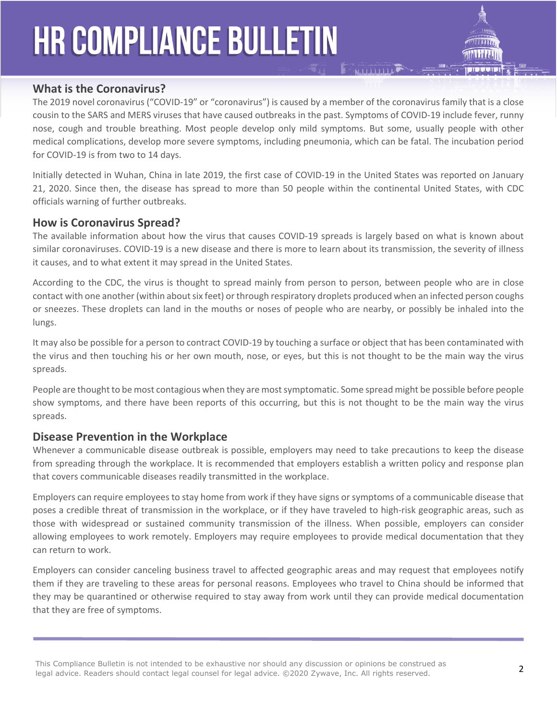

### **What is the Coronavirus?**

The 2019 novel coronavirus ("COVID-19" or "coronavirus") is caused by a member of the coronavirus family that is a close cousin to the SARS and MERS viruses that have caused outbreaks in the past. Symptoms of COVID-19 include fever, runny nose, cough and trouble breathing. Most people develop only mild symptoms. But some, usually people with other medical complications, develop more severe symptoms, including pneumonia, which can be fatal. The incubation period for COVID-19 is from two to 14 days.

Initially detected in Wuhan, China in late 2019, the first case of COVID-19 in the United States was reported on January 21, 2020. Since then, the disease has spread to more than 50 people within the continental United States, with CDC officials warning of further outbreaks.

#### **How is Coronavirus Spread?**

The available information about how the virus that causes COVID-19 spreads is largely based on what is known about similar coronaviruses. COVID-19 is a new disease and there is more to learn about its transmission, the severity of illness it causes, and to what extent it may spread in the United States.

According to the CDC, the virus is thought to spread mainly from person to person, between people who are in close contact with one another (within about six feet) or through respiratory droplets produced when an infected person coughs or sneezes. These droplets can land in the mouths or noses of people who are nearby, or possibly be inhaled into the lungs.

It may also be possible for a person to contract COVID-19 by touching a surface or object that has been contaminated with the virus and then touching his or her own mouth, nose, or eyes, but this is not thought to be the main way the virus spreads.

People are thought to be most contagious when they are most symptomatic. Some spread might be possible before people show symptoms, and there have been reports of this occurring, but this is not thought to be the main way the virus spreads.

#### **Disease Prevention in the Workplace**

Whenever a communicable disease outbreak is possible, employers may need to take precautions to keep the disease from spreading through the workplace. It is recommended that employers establish a written policy and response plan that covers communicable diseases readily transmitted in the workplace.

Employers can require employees to stay home from work if they have signs or symptoms of a communicable disease that poses a credible threat of transmission in the workplace, or if they have traveled to high-risk geographic areas, such as those with widespread or sustained community transmission of the illness. When possible, employers can consider allowing employees to work remotely. Employers may require employees to provide medical documentation that they can return to work.

Employers can consider canceling business travel to affected geographic areas and may request that employees notify them if they are traveling to these areas for personal reasons. Employees who travel to China should be informed that they may be quarantined or otherwise required to stay away from work until they can provide medical documentation that they are free of symptoms.

This Compliance Bulletin is not intended to be exhaustive nor should any discussion or opinions be construed as legal advice. Readers should contact legal counsel for legal advice. ©2020 Zywave, Inc. All rights reserved.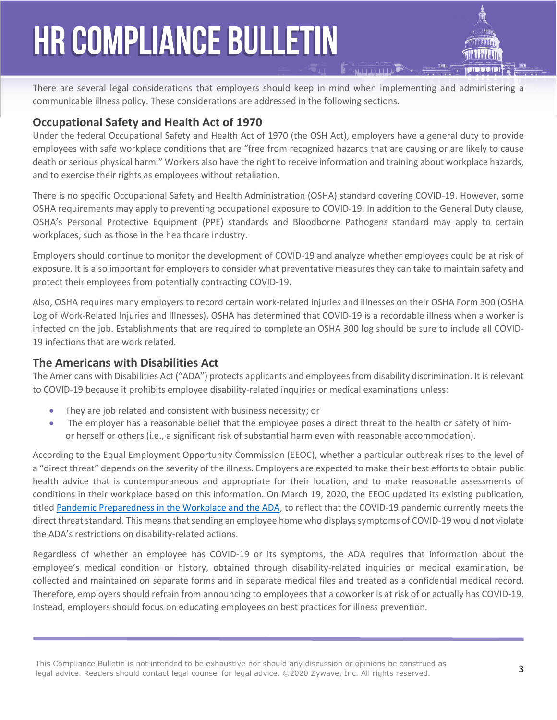There are several legal considerations that employers should keep in mind when implementing and administering a communicable illness policy. These considerations are addressed in the following sections.

# **Occupational Safety and Health Act of 1970**

Under the federal Occupational Safety and Health Act of 1970 (the OSH Act), employers have a general duty to provide employees with safe workplace conditions that are "free from recognized hazards that are causing or are likely to cause death or serious physical harm." Workers also have the right to receive information and training about workplace hazards, and to exercise their rights as employees without retaliation.

There is no specific Occupational Safety and Health Administration (OSHA) standard covering COVID-19. However, some OSHA requirements may apply to preventing occupational exposure to COVID-19. In addition to the General Duty clause, OSHA's Personal Protective Equipment (PPE) standards and Bloodborne Pathogens standard may apply to certain workplaces, such as those in the healthcare industry.

Employers should continue to monitor the development of COVID-19 and analyze whether employees could be at risk of exposure. It is also important for employers to consider what preventative measures they can take to maintain safety and protect their employees from potentially contracting COVID-19.

Also, OSHA requires many employers to record certain work-related injuries and illnesses on their OSHA Form 300 (OSHA Log of Work-Related Injuries and Illnesses). OSHA has determined that COVID-19 is a recordable illness when a worker is infected on the job. Establishments that are required to complete an OSHA 300 log should be sure to include all COVID-19 infections that are work related.

#### **The Americans with Disabilities Act**

The Americans with Disabilities Act ("ADA") protects applicants and employees from disability discrimination. It is relevant to COVID-19 because it prohibits employee disability-related inquiries or medical examinations unless:

- They are job related and consistent with business necessity; or
- The employer has a reasonable belief that the employee poses a direct threat to the health or safety of himor herself or others (i.e., a significant risk of substantial harm even with reasonable accommodation).

According to the Equal Employment Opportunity Commission (EEOC), whether a particular outbreak rises to the level of a "direct threat" depends on the severity of the illness. Employers are expected to make their best efforts to obtain public health advice that is contemporaneous and appropriate for their location, and to make reasonable assessments of conditions in their workplace based on this information. On March 19, 2020, the EEOC updated its existing publication, titled [Pandemic Preparedness in the Workplace and the ADA,](https://nam05.safelinks.protection.outlook.com/?url=https://lnks.gd/l/eyJhbGciOiJIUzI1NiJ9.eyJidWxsZXRpbl9saW5rX2lkIjoxMDIsInVyaSI6ImJwMjpjbGljayIsImJ1bGxldGluX2lkIjoiMjAyMDAzMTguMTg5MjM2OTEiLCJ1cmwiOiJodHRwczovL3d3dy5lZW9jLmdvdi9mYWN0cy9wYW5kZW1pY19mbHUuaHRtbD91dG1fY29udGVudD0mdXRtX21lZGl1bT1lbWFpbCZ1dG1fbmFtZT0mdXRtX3NvdXJjZT1nb3ZkZWxpdmVyeSZ1dG1fdGVybT0ifQ.8wEG4VmxV5OGUCa1CcQc9N2Dg4XlO2braMquOvPV0Ik/br/76270304526-l&data=02%7C01%7Ccarriemay.poniewaz@zywave.com%7C3c1fba480fa14ae0c17b08d7cb5956fc%7Cbd0c095f5d664273a20964796ae91974%7C0%7C1%7C637201456883243054&sdata=jBDRQgjkF5i1BBjIPjgfkj8JTJVz63izU7khHxq7GAM=&reserved=0) to reflect that the COVID-19 pandemic currently meets the direct threat standard. This means that sending an employee home who displays symptoms of COVID-19 would **not** violate the ADA's restrictions on disability-related actions.

Regardless of whether an employee has COVID-19 or its symptoms, the ADA requires that information about the employee's medical condition or history, obtained through disability-related inquiries or medical examination, be collected and maintained on separate forms and in separate medical files and treated as a confidential medical record. Therefore, employers should refrain from announcing to employees that a coworker is at risk of or actually has COVID-19. Instead, employers should focus on educating employees on best practices for illness prevention.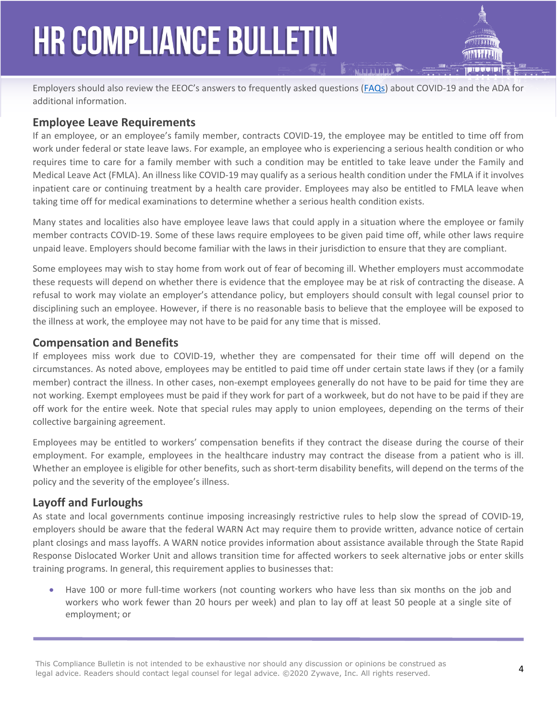Employers should also review the EEOC's answers to frequently asked questions [\(FAQs](https://www.eeoc.gov/eeoc/newsroom/wysk/wysk_ada_rehabilitaion_act_coronavirus.cfm)) about COVID-19 and the ADA for additional information.

# **Employee Leave Requirements**

If an employee, or an employee's family member, contracts COVID-19, the employee may be entitled to time off from work under federal or state leave laws. For example, an employee who is experiencing a serious health condition or who requires time to care for a family member with such a condition may be entitled to take leave under the Family and Medical Leave Act (FMLA). An illness like COVID-19 may qualify as a serious health condition under the FMLA if it involves inpatient care or continuing treatment by a health care provider. Employees may also be entitled to FMLA leave when taking time off for medical examinations to determine whether a serious health condition exists.

Many states and localities also have employee leave laws that could apply in a situation where the employee or family member contracts COVID-19. Some of these laws require employees to be given paid time off, while other laws require unpaid leave. Employers should become familiar with the laws in their jurisdiction to ensure that they are compliant.

Some employees may wish to stay home from work out of fear of becoming ill. Whether employers must accommodate these requests will depend on whether there is evidence that the employee may be at risk of contracting the disease. A refusal to work may violate an employer's attendance policy, but employers should consult with legal counsel prior to disciplining such an employee. However, if there is no reasonable basis to believe that the employee will be exposed to the illness at work, the employee may not have to be paid for any time that is missed.

## **Compensation and Benefits**

If employees miss work due to COVID-19, whether they are compensated for their time off will depend on the circumstances. As noted above, employees may be entitled to paid time off under certain state laws if they (or a family member) contract the illness. In other cases, non-exempt employees generally do not have to be paid for time they are not working. Exempt employees must be paid if they work for part of a workweek, but do not have to be paid if they are off work for the entire week. Note that special rules may apply to union employees, depending on the terms of their collective bargaining agreement.

Employees may be entitled to workers' compensation benefits if they contract the disease during the course of their employment. For example, employees in the healthcare industry may contract the disease from a patient who is ill. Whether an employee is eligible for other benefits, such as short-term disability benefits, will depend on the terms of the policy and the severity of the employee's illness.

## **Layoff and Furloughs**

As state and local governments continue imposing increasingly restrictive rules to help slow the spread of COVID-19, employers should be aware that the federal WARN Act may require them to provide written, advance notice of certain plant closings and mass layoffs. A WARN notice provides information about assistance available through the State Rapid Response Dislocated Worker Unit and allows transition time for affected workers to seek alternative jobs or enter skills training programs. In general, this requirement applies to businesses that:

 Have 100 or more full-time workers (not counting workers who have less than six months on the job and workers who work fewer than 20 hours per week) and plan to lay off at least 50 people at a single site of employment; or

This Compliance Bulletin is not intended to be exhaustive nor should any discussion or opinions be construed as legal advice. Readers should contact legal counsel for legal advice. ©2020 Zywave, Inc. All rights reserved.